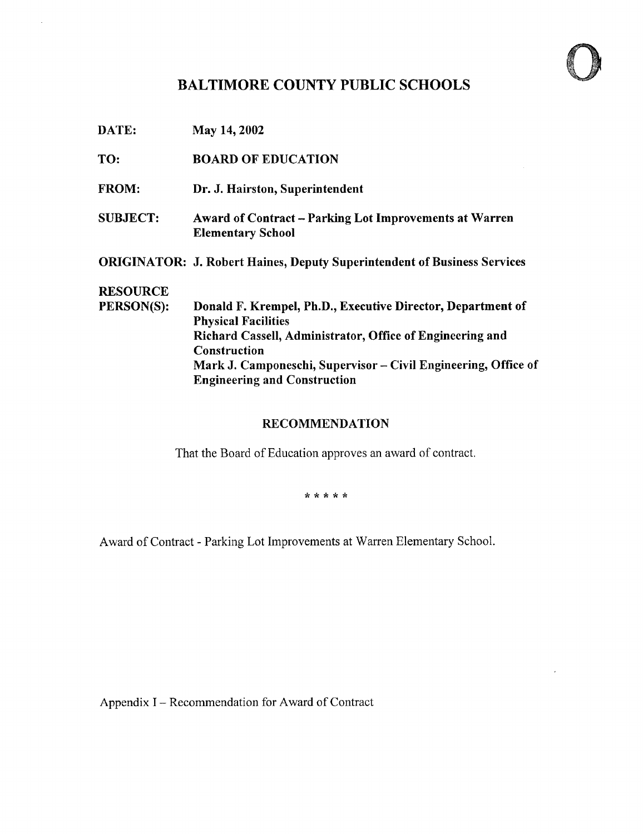# BALTIMORE COUNTY PUBLIC SCHOOLS

 $\bar{\beta}$ 

| DATE:           | May 14, 2002                                                                              |
|-----------------|-------------------------------------------------------------------------------------------|
| TO:             | <b>BOARD OF EDUCATION</b>                                                                 |
| <b>FROM:</b>    | Dr. J. Hairston, Superintendent                                                           |
| <b>SUBJECT:</b> | <b>Award of Contract – Parking Lot Improvements at Warren</b><br><b>Elementary School</b> |
|                 | <b>ORIGINATOR: J. Robert Haines, Deputy Superintendent of Business Services</b>           |
| <b>RESOURCE</b> |                                                                                           |
| PERSON(S):      | Donald F. Krempel, Ph.D., Executive Director, Department of<br><b>Physical Facilities</b> |
|                 | Richard Cassell, Administrator, Office of Engineering and                                 |
|                 | <b>Construction</b><br>Mark J. Camponeschi, Supervisor – Civil Engineering, Office of     |
|                 | <b>Engineering and Construction</b>                                                       |

### RECOMMENDATION

That the Board of Education approves an award of contract

\* \* \* \* \*

Award of Contract - Parking Lot Improvements at Warren Elementary School.

Appendix I - Recommendation for Award of Contract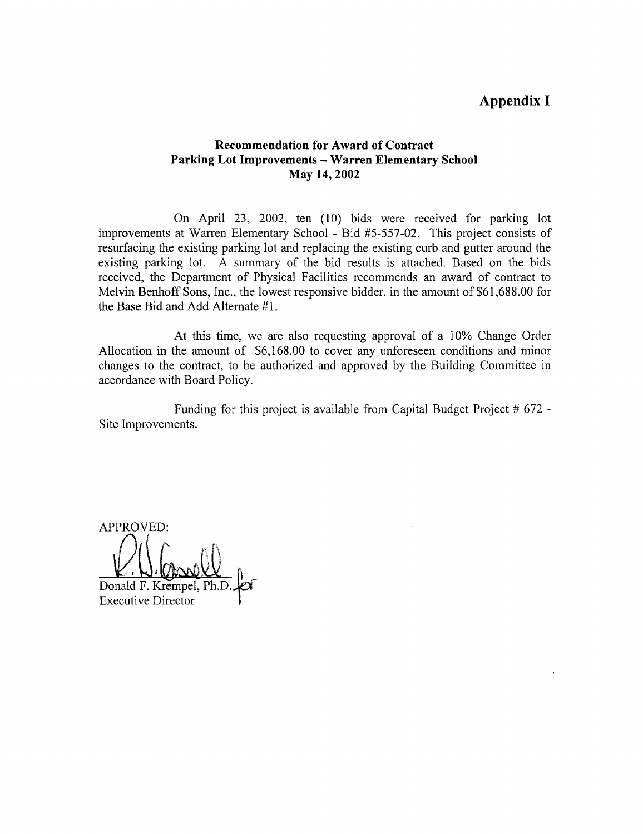## Appendix I

#### Recommendation for Award of Contract Parking Lot Improvements - Warren Elementary School May 14, 2002

On April 23, 2002, ten (10) bids were received for parking lot improvements at Warren Elementary School - Bid #5-557-02 . This project consists of resurfacing the existing parking lot and replacing the existing curb and gutter around the existing parking lot. A summary of the bid results is attached. Based on the bids received, the Department of Physical Facilities recommends an award of contract to Melvin Benhoff Sons, Inc., the lowest responsive bidder, in the amount of \$61,688.00 for the Base Bid and Add Alternate #l .

At this time, we are also requesting approval of a 10% Change Order Allocation in the amount of \$6,168 .00 to cover any unforeseen conditions and minor changes to the contract, to be authorized and approved by the Building Committee in accordance with Board Policy.

Funding for this project is available from Capital Budget Project # 672 - Site Improvements.

APPROVED: Donald F. Krempel, Ph.

Executive Director